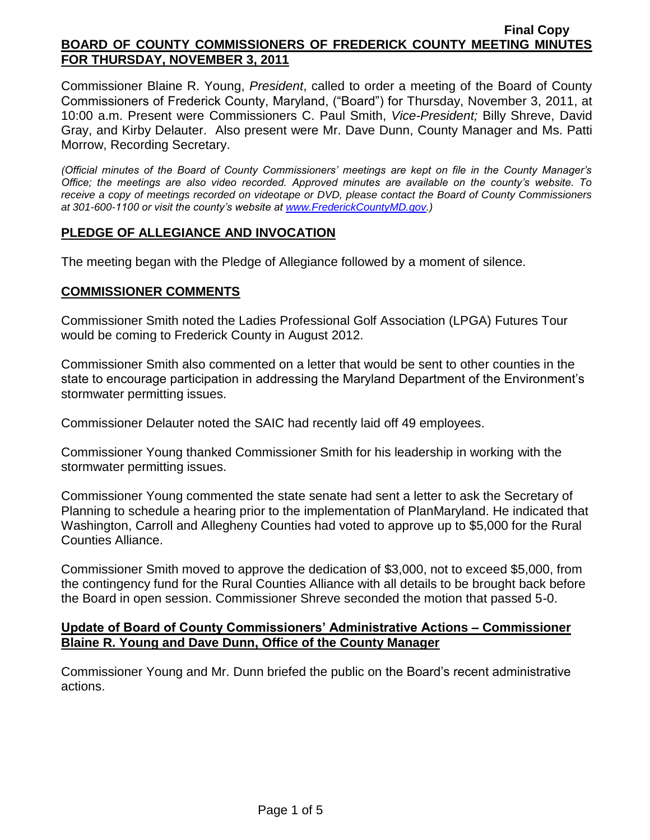Commissioner Blaine R. Young, *President*, called to order a meeting of the Board of County Commissioners of Frederick County, Maryland, ("Board") for Thursday, November 3, 2011, at 10:00 a.m. Present were Commissioners C. Paul Smith, *Vice-President;* Billy Shreve, David Gray, and Kirby Delauter. Also present were Mr. Dave Dunn, County Manager and Ms. Patti Morrow, Recording Secretary.

*(Official minutes of the Board of County Commissioners' meetings are kept on file in the County Manager's Office; the meetings are also video recorded. Approved minutes are available on the county's website. To receive a copy of meetings recorded on videotape or DVD, please contact the Board of County Commissioners at 301-600-1100 or visit the county's website at [www.FrederickCountyMD.gov.](http://www.frederickcountymd.gov/))*

## **PLEDGE OF ALLEGIANCE AND INVOCATION**

The meeting began with the Pledge of Allegiance followed by a moment of silence.

### **COMMISSIONER COMMENTS**

Commissioner Smith noted the Ladies Professional Golf Association (LPGA) Futures Tour would be coming to Frederick County in August 2012.

Commissioner Smith also commented on a letter that would be sent to other counties in the state to encourage participation in addressing the Maryland Department of the Environment's stormwater permitting issues.

Commissioner Delauter noted the SAIC had recently laid off 49 employees.

Commissioner Young thanked Commissioner Smith for his leadership in working with the stormwater permitting issues.

Commissioner Young commented the state senate had sent a letter to ask the Secretary of Planning to schedule a hearing prior to the implementation of PlanMaryland. He indicated that Washington, Carroll and Allegheny Counties had voted to approve up to \$5,000 for the Rural Counties Alliance.

Commissioner Smith moved to approve the dedication of \$3,000, not to exceed \$5,000, from the contingency fund for the Rural Counties Alliance with all details to be brought back before the Board in open session. Commissioner Shreve seconded the motion that passed 5-0.

### **Update of Board of County Commissioners' Administrative Actions – Commissioner Blaine R. Young and Dave Dunn, Office of the County Manager**

Commissioner Young and Mr. Dunn briefed the public on the Board's recent administrative actions.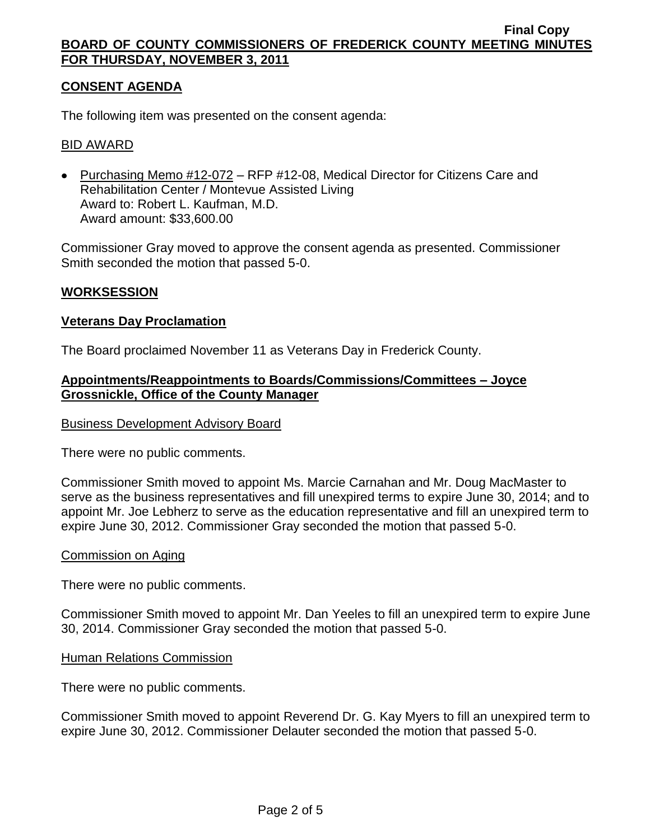## **CONSENT AGENDA**

The following item was presented on the consent agenda:

### BID AWARD

• Purchasing Memo #12-072 – RFP #12-08, Medical Director for Citizens Care and Rehabilitation Center / Montevue Assisted Living Award to: Robert L. Kaufman, M.D. Award amount: \$33,600.00

Commissioner Gray moved to approve the consent agenda as presented. Commissioner Smith seconded the motion that passed 5-0.

### **WORKSESSION**

#### **Veterans Day Proclamation**

The Board proclaimed November 11 as Veterans Day in Frederick County.

### **Appointments/Reappointments to Boards/Commissions/Committees – Joyce Grossnickle, Office of the County Manager**

#### Business Development Advisory Board

There were no public comments.

Commissioner Smith moved to appoint Ms. Marcie Carnahan and Mr. Doug MacMaster to serve as the business representatives and fill unexpired terms to expire June 30, 2014; and to appoint Mr. Joe Lebherz to serve as the education representative and fill an unexpired term to expire June 30, 2012. Commissioner Gray seconded the motion that passed 5-0.

#### Commission on Aging

There were no public comments.

Commissioner Smith moved to appoint Mr. Dan Yeeles to fill an unexpired term to expire June 30, 2014. Commissioner Gray seconded the motion that passed 5-0.

#### Human Relations Commission

There were no public comments.

Commissioner Smith moved to appoint Reverend Dr. G. Kay Myers to fill an unexpired term to expire June 30, 2012. Commissioner Delauter seconded the motion that passed 5-0.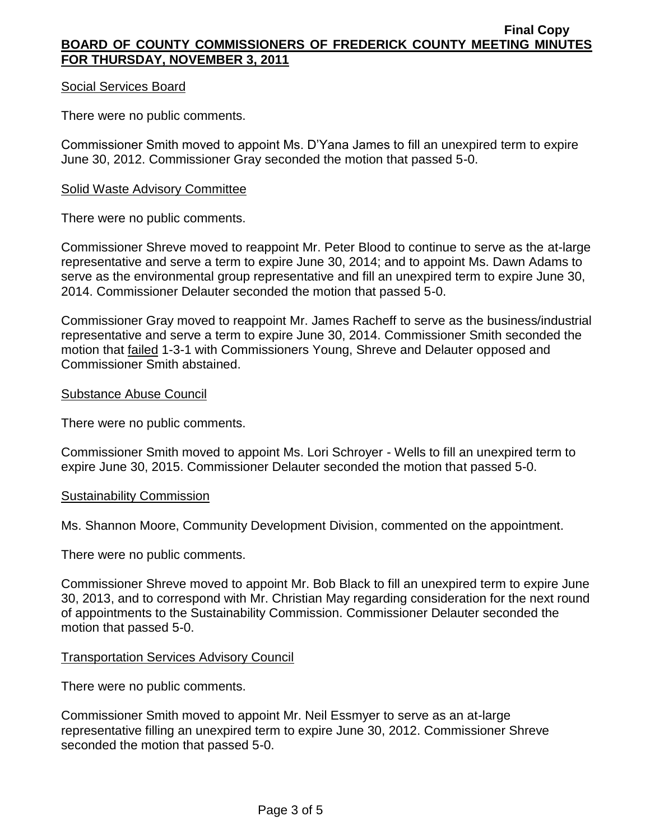### Social Services Board

There were no public comments.

Commissioner Smith moved to appoint Ms. D'Yana James to fill an unexpired term to expire June 30, 2012. Commissioner Gray seconded the motion that passed 5-0.

#### Solid Waste Advisory Committee

There were no public comments.

Commissioner Shreve moved to reappoint Mr. Peter Blood to continue to serve as the at-large representative and serve a term to expire June 30, 2014; and to appoint Ms. Dawn Adams to serve as the environmental group representative and fill an unexpired term to expire June 30, 2014. Commissioner Delauter seconded the motion that passed 5-0.

Commissioner Gray moved to reappoint Mr. James Racheff to serve as the business/industrial representative and serve a term to expire June 30, 2014. Commissioner Smith seconded the motion that failed 1-3-1 with Commissioners Young, Shreve and Delauter opposed and Commissioner Smith abstained.

#### Substance Abuse Council

There were no public comments.

Commissioner Smith moved to appoint Ms. Lori Schroyer - Wells to fill an unexpired term to expire June 30, 2015. Commissioner Delauter seconded the motion that passed 5-0.

#### Sustainability Commission

Ms. Shannon Moore, Community Development Division, commented on the appointment.

There were no public comments.

Commissioner Shreve moved to appoint Mr. Bob Black to fill an unexpired term to expire June 30, 2013, and to correspond with Mr. Christian May regarding consideration for the next round of appointments to the Sustainability Commission. Commissioner Delauter seconded the motion that passed 5-0.

#### Transportation Services Advisory Council

There were no public comments.

Commissioner Smith moved to appoint Mr. Neil Essmyer to serve as an at-large representative filling an unexpired term to expire June 30, 2012. Commissioner Shreve seconded the motion that passed 5-0.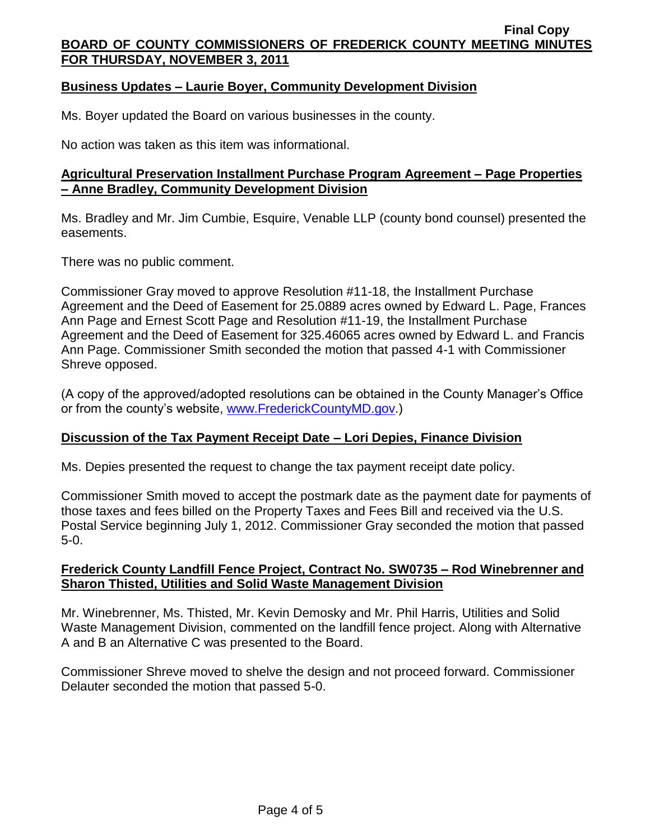## **Business Updates – Laurie Boyer, Community Development Division**

Ms. Boyer updated the Board on various businesses in the county.

No action was taken as this item was informational.

## **Agricultural Preservation Installment Purchase Program Agreement – Page Properties – Anne Bradley, Community Development Division**

Ms. Bradley and Mr. Jim Cumbie, Esquire, Venable LLP (county bond counsel) presented the easements.

There was no public comment.

Commissioner Gray moved to approve Resolution #11-18, the Installment Purchase Agreement and the Deed of Easement for 25.0889 acres owned by Edward L. Page, Frances Ann Page and Ernest Scott Page and Resolution #11-19, the Installment Purchase Agreement and the Deed of Easement for 325.46065 acres owned by Edward L. and Francis Ann Page. Commissioner Smith seconded the motion that passed 4-1 with Commissioner Shreve opposed.

(A copy of the approved/adopted resolutions can be obtained in the County Manager's Office or from the county's website, [www.FrederickCountyMD.gov.](http://www.frederickcountymd.gov/))

## **Discussion of the Tax Payment Receipt Date – Lori Depies, Finance Division**

Ms. Depies presented the request to change the tax payment receipt date policy.

Commissioner Smith moved to accept the postmark date as the payment date for payments of those taxes and fees billed on the Property Taxes and Fees Bill and received via the U.S. Postal Service beginning July 1, 2012. Commissioner Gray seconded the motion that passed 5-0.

# **Frederick County Landfill Fence Project, Contract No. SW0735 – Rod Winebrenner and Sharon Thisted, Utilities and Solid Waste Management Division**

Mr. Winebrenner, Ms. Thisted, Mr. Kevin Demosky and Mr. Phil Harris, Utilities and Solid Waste Management Division, commented on the landfill fence project. Along with Alternative A and B an Alternative C was presented to the Board.

Commissioner Shreve moved to shelve the design and not proceed forward. Commissioner Delauter seconded the motion that passed 5-0.